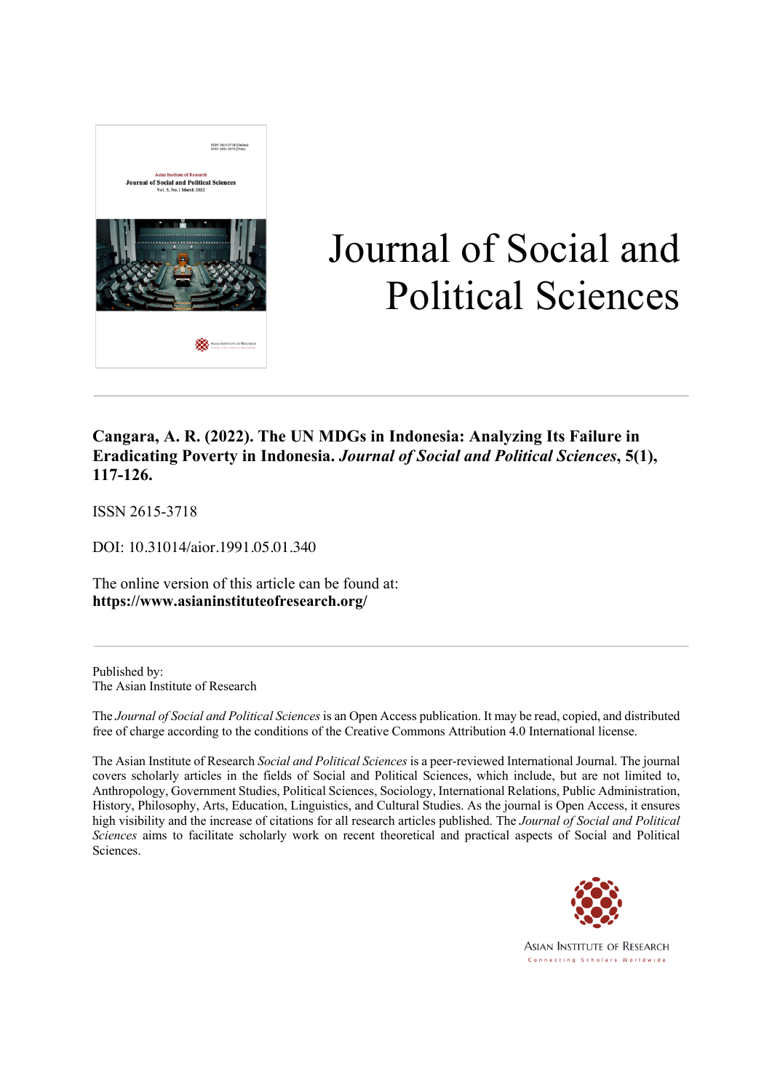

# Journal of Social and Political Sciences

# **Cangara, A. R. (2022). The UN MDGs in Indonesia: Analyzing Its Failure in Eradicating Poverty in Indonesia.** *Journal of Social and Political Sciences***, 5(1), 117-126.**

ISSN 2615-3718

DOI: 10.31014/aior.1991.05.01.340

The online version of this article can be found at: **https://www.asianinstituteofresearch.org/**

Published by: The Asian Institute of Research

The *Journal of Social and Political Sciences* is an Open Access publication. It may be read, copied, and distributed free of charge according to the conditions of the Creative Commons Attribution 4.0 International license.

The Asian Institute of Research *Social and Political Sciences* is a peer-reviewed International Journal. The journal covers scholarly articles in the fields of Social and Political Sciences, which include, but are not limited to, Anthropology, Government Studies, Political Sciences, Sociology, International Relations, Public Administration, History, Philosophy, Arts, Education, Linguistics, and Cultural Studies. As the journal is Open Access, it ensures high visibility and the increase of citations for all research articles published. The *Journal of Social and Political Sciences* aims to facilitate scholarly work on recent theoretical and practical aspects of Social and Political Sciences.



**ASIAN INSTITUTE OF RESEARCH** Connecting Scholars Worldwide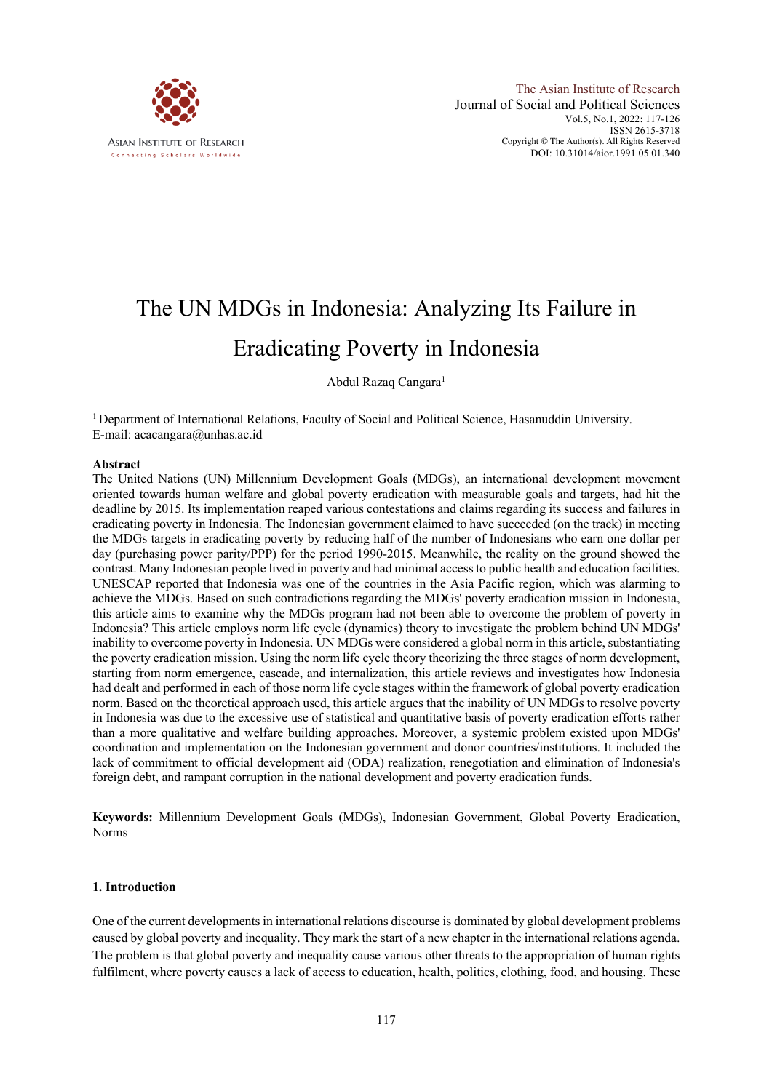

# The UN MDGs in Indonesia: Analyzing Its Failure in Eradicating Poverty in Indonesia

Abdul Razaq Cangara<sup>1</sup>

<sup>1</sup> Department of International Relations, Faculty of Social and Political Science, Hasanuddin University. E-mail: acacangara@unhas.ac.id

# **Abstract**

The United Nations (UN) Millennium Development Goals (MDGs), an international development movement oriented towards human welfare and global poverty eradication with measurable goals and targets, had hit the deadline by 2015. Its implementation reaped various contestations and claims regarding its success and failures in eradicating poverty in Indonesia. The Indonesian government claimed to have succeeded (on the track) in meeting the MDGs targets in eradicating poverty by reducing half of the number of Indonesians who earn one dollar per day (purchasing power parity/PPP) for the period 1990-2015. Meanwhile, the reality on the ground showed the contrast. Many Indonesian people lived in poverty and had minimal access to public health and education facilities. UNESCAP reported that Indonesia was one of the countries in the Asia Pacific region, which was alarming to achieve the MDGs. Based on such contradictions regarding the MDGs' poverty eradication mission in Indonesia, this article aims to examine why the MDGs program had not been able to overcome the problem of poverty in Indonesia? This article employs norm life cycle (dynamics) theory to investigate the problem behind UN MDGs' inability to overcome poverty in Indonesia. UN MDGs were considered a global norm in this article, substantiating the poverty eradication mission. Using the norm life cycle theory theorizing the three stages of norm development, starting from norm emergence, cascade, and internalization, this article reviews and investigates how Indonesia had dealt and performed in each of those norm life cycle stages within the framework of global poverty eradication norm. Based on the theoretical approach used, this article argues that the inability of UN MDGs to resolve poverty in Indonesia was due to the excessive use of statistical and quantitative basis of poverty eradication efforts rather than a more qualitative and welfare building approaches. Moreover, a systemic problem existed upon MDGs' coordination and implementation on the Indonesian government and donor countries/institutions. It included the lack of commitment to official development aid (ODA) realization, renegotiation and elimination of Indonesia's foreign debt, and rampant corruption in the national development and poverty eradication funds.

**Keywords:** Millennium Development Goals (MDGs), Indonesian Government, Global Poverty Eradication, Norms

## **1. Introduction**

One of the current developments in international relations discourse is dominated by global development problems caused by global poverty and inequality. They mark the start of a new chapter in the international relations agenda. The problem is that global poverty and inequality cause various other threats to the appropriation of human rights fulfilment, where poverty causes a lack of access to education, health, politics, clothing, food, and housing. These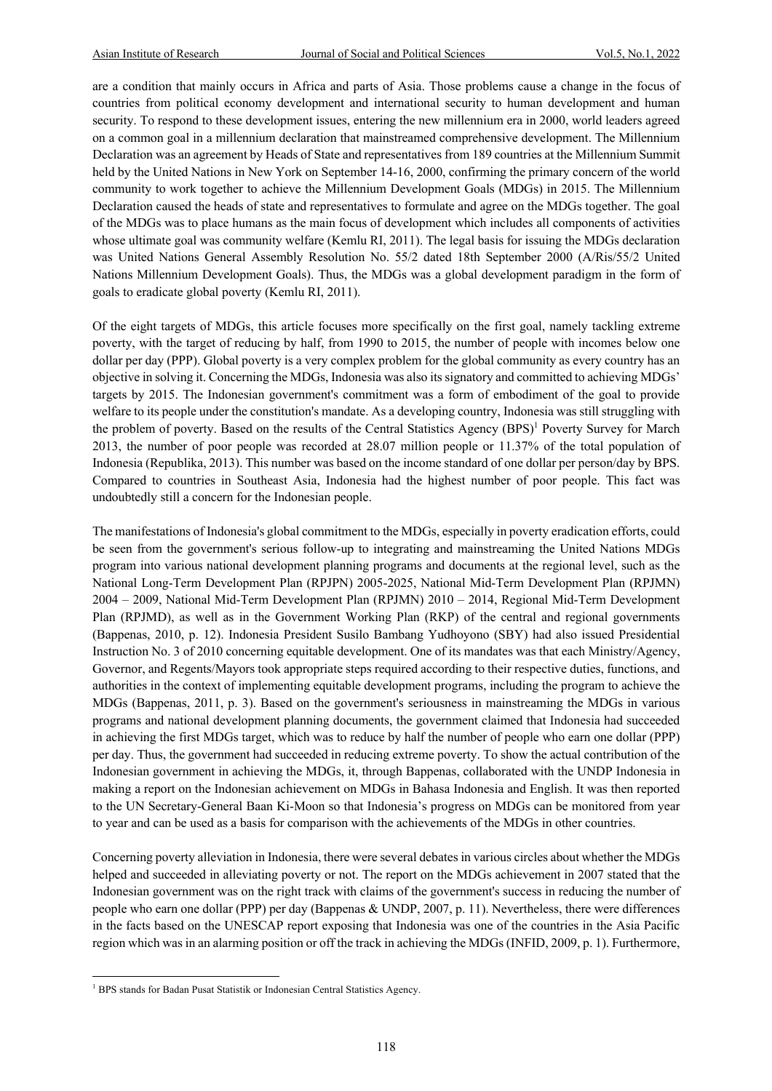are a condition that mainly occurs in Africa and parts of Asia. Those problems cause a change in the focus of countries from political economy development and international security to human development and human security. To respond to these development issues, entering the new millennium era in 2000, world leaders agreed on a common goal in a millennium declaration that mainstreamed comprehensive development. The Millennium Declaration was an agreement by Heads of State and representatives from 189 countries at the Millennium Summit held by the United Nations in New York on September 14-16, 2000, confirming the primary concern of the world community to work together to achieve the Millennium Development Goals (MDGs) in 2015. The Millennium Declaration caused the heads of state and representatives to formulate and agree on the MDGs together. The goal of the MDGs was to place humans as the main focus of development which includes all components of activities whose ultimate goal was community welfare (Kemlu RI, 2011). The legal basis for issuing the MDGs declaration was United Nations General Assembly Resolution No. 55/2 dated 18th September 2000 (A/Ris/55/2 United Nations Millennium Development Goals). Thus, the MDGs was a global development paradigm in the form of goals to eradicate global poverty (Kemlu RI, 2011).

Of the eight targets of MDGs, this article focuses more specifically on the first goal, namely tackling extreme poverty, with the target of reducing by half, from 1990 to 2015, the number of people with incomes below one dollar per day (PPP). Global poverty is a very complex problem for the global community as every country has an objective in solving it. Concerning the MDGs, Indonesia was also its signatory and committed to achieving MDGs' targets by 2015. The Indonesian government's commitment was a form of embodiment of the goal to provide welfare to its people under the constitution's mandate. As a developing country, Indonesia was still struggling with the problem of poverty. Based on the results of the Central Statistics Agency (BPS)<sup>1</sup> Poverty Survey for March 2013, the number of poor people was recorded at 28.07 million people or 11.37% of the total population of Indonesia (Republika, 2013). This number was based on the income standard of one dollar per person/day by BPS. Compared to countries in Southeast Asia, Indonesia had the highest number of poor people. This fact was undoubtedly still a concern for the Indonesian people.

The manifestations of Indonesia's global commitment to the MDGs, especially in poverty eradication efforts, could be seen from the government's serious follow-up to integrating and mainstreaming the United Nations MDGs program into various national development planning programs and documents at the regional level, such as the National Long-Term Development Plan (RPJPN) 2005-2025, National Mid-Term Development Plan (RPJMN) 2004 – 2009, National Mid-Term Development Plan (RPJMN) 2010 – 2014, Regional Mid-Term Development Plan (RPJMD), as well as in the Government Working Plan (RKP) of the central and regional governments (Bappenas, 2010, p. 12). Indonesia President Susilo Bambang Yudhoyono (SBY) had also issued Presidential Instruction No. 3 of 2010 concerning equitable development. One of its mandates was that each Ministry/Agency, Governor, and Regents/Mayors took appropriate steps required according to their respective duties, functions, and authorities in the context of implementing equitable development programs, including the program to achieve the MDGs (Bappenas, 2011, p. 3). Based on the government's seriousness in mainstreaming the MDGs in various programs and national development planning documents, the government claimed that Indonesia had succeeded in achieving the first MDGs target, which was to reduce by half the number of people who earn one dollar (PPP) per day. Thus, the government had succeeded in reducing extreme poverty. To show the actual contribution of the Indonesian government in achieving the MDGs, it, through Bappenas, collaborated with the UNDP Indonesia in making a report on the Indonesian achievement on MDGs in Bahasa Indonesia and English. It was then reported to the UN Secretary-General Baan Ki-Moon so that Indonesia's progress on MDGs can be monitored from year to year and can be used as a basis for comparison with the achievements of the MDGs in other countries.

Concerning poverty alleviation in Indonesia, there were several debates in various circles about whether the MDGs helped and succeeded in alleviating poverty or not. The report on the MDGs achievement in 2007 stated that the Indonesian government was on the right track with claims of the government's success in reducing the number of people who earn one dollar (PPP) per day (Bappenas & UNDP, 2007, p. 11). Nevertheless, there were differences in the facts based on the UNESCAP report exposing that Indonesia was one of the countries in the Asia Pacific region which was in an alarming position or off the track in achieving the MDGs (INFID, 2009, p. 1). Furthermore,

<sup>&</sup>lt;sup>1</sup> BPS stands for Badan Pusat Statistik or Indonesian Central Statistics Agency.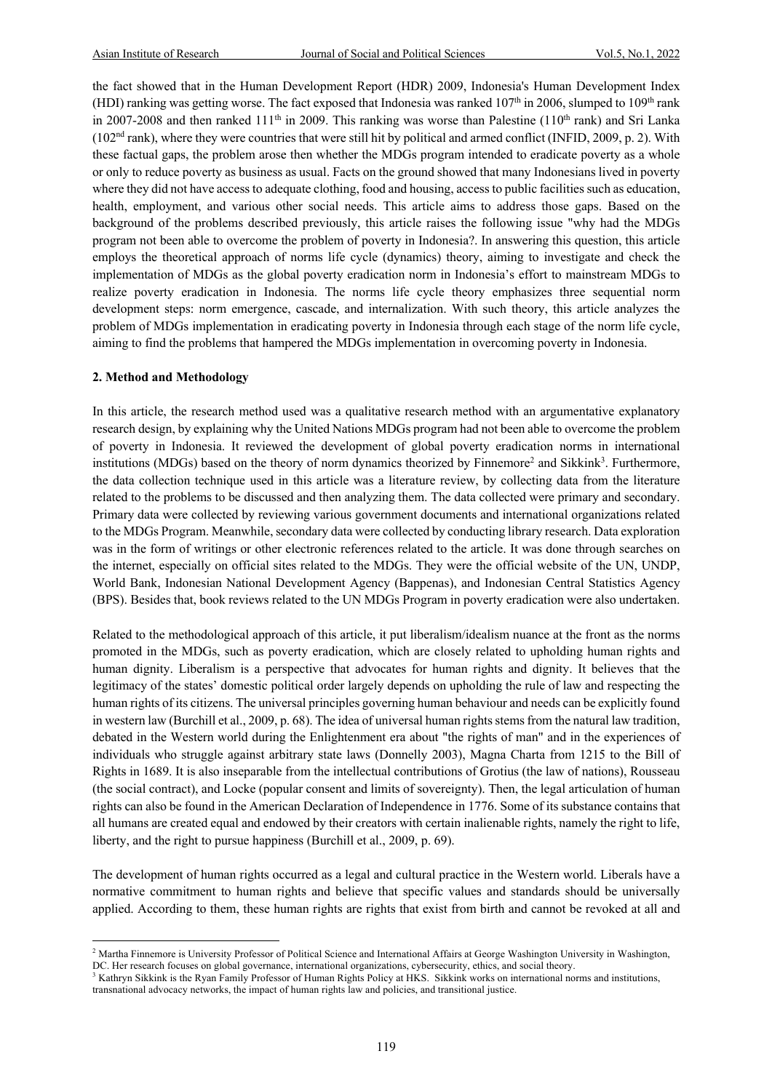the fact showed that in the Human Development Report (HDR) 2009, Indonesia's Human Development Index (HDI) ranking was getting worse. The fact exposed that Indonesia was ranked  $107<sup>th</sup>$  in 2006, slumped to  $109<sup>th</sup>$  rank in 2007-2008 and then ranked  $111<sup>th</sup>$  in 2009. This ranking was worse than Palestine ( $110<sup>th</sup>$  rank) and Sri Lanka  $(102<sup>nd</sup> rank)$ , where they were countries that were still hit by political and armed conflict (INFID, 2009, p. 2). With these factual gaps, the problem arose then whether the MDGs program intended to eradicate poverty as a whole or only to reduce poverty as business as usual. Facts on the ground showed that many Indonesians lived in poverty where they did not have access to adequate clothing, food and housing, access to public facilities such as education, health, employment, and various other social needs. This article aims to address those gaps. Based on the background of the problems described previously, this article raises the following issue "why had the MDGs program not been able to overcome the problem of poverty in Indonesia?. In answering this question, this article employs the theoretical approach of norms life cycle (dynamics) theory, aiming to investigate and check the implementation of MDGs as the global poverty eradication norm in Indonesia's effort to mainstream MDGs to realize poverty eradication in Indonesia. The norms life cycle theory emphasizes three sequential norm development steps: norm emergence, cascade, and internalization. With such theory, this article analyzes the problem of MDGs implementation in eradicating poverty in Indonesia through each stage of the norm life cycle, aiming to find the problems that hampered the MDGs implementation in overcoming poverty in Indonesia.

# **2. Method and Methodology**

In this article, the research method used was a qualitative research method with an argumentative explanatory research design, by explaining why the United Nations MDGs program had not been able to overcome the problem of poverty in Indonesia. It reviewed the development of global poverty eradication norms in international institutions (MDGs) based on the theory of norm dynamics theorized by Finnemore<sup>2</sup> and Sikkink<sup>3</sup>. Furthermore, the data collection technique used in this article was a literature review, by collecting data from the literature related to the problems to be discussed and then analyzing them. The data collected were primary and secondary. Primary data were collected by reviewing various government documents and international organizations related to the MDGs Program. Meanwhile, secondary data were collected by conducting library research. Data exploration was in the form of writings or other electronic references related to the article. It was done through searches on the internet, especially on official sites related to the MDGs. They were the official website of the UN, UNDP, World Bank, Indonesian National Development Agency (Bappenas), and Indonesian Central Statistics Agency (BPS). Besides that, book reviews related to the UN MDGs Program in poverty eradication were also undertaken.

Related to the methodological approach of this article, it put liberalism/idealism nuance at the front as the norms promoted in the MDGs, such as poverty eradication, which are closely related to upholding human rights and human dignity. Liberalism is a perspective that advocates for human rights and dignity. It believes that the legitimacy of the states' domestic political order largely depends on upholding the rule of law and respecting the human rights of its citizens. The universal principles governing human behaviour and needs can be explicitly found in western law (Burchill et al., 2009, p. 68). The idea of universal human rights stems from the natural law tradition, debated in the Western world during the Enlightenment era about "the rights of man" and in the experiences of individuals who struggle against arbitrary state laws (Donnelly 2003), Magna Charta from 1215 to the Bill of Rights in 1689. It is also inseparable from the intellectual contributions of Grotius (the law of nations), Rousseau (the social contract), and Locke (popular consent and limits of sovereignty). Then, the legal articulation of human rights can also be found in the American Declaration of Independence in 1776. Some of its substance contains that all humans are created equal and endowed by their creators with certain inalienable rights, namely the right to life, liberty, and the right to pursue happiness (Burchill et al., 2009, p. 69).

The development of human rights occurred as a legal and cultural practice in the Western world. Liberals have a normative commitment to human rights and believe that specific values and standards should be universally applied. According to them, these human rights are rights that exist from birth and cannot be revoked at all and

<sup>&</sup>lt;sup>2</sup> Martha Finnemore is University Professor of Political Science and International Affairs at George Washington University in Washington, DC. Her research focuses on global governance, international organizations, cybersecurity, ethics, and social theory.

<sup>&</sup>lt;sup>3</sup> Kathryn Sikkink is the Ryan Family Professor of Human Rights Policy at HKS. Sikkink works on international norms and institutions, transnational advocacy networks, the impact of human rights law and policies, and transitional justice.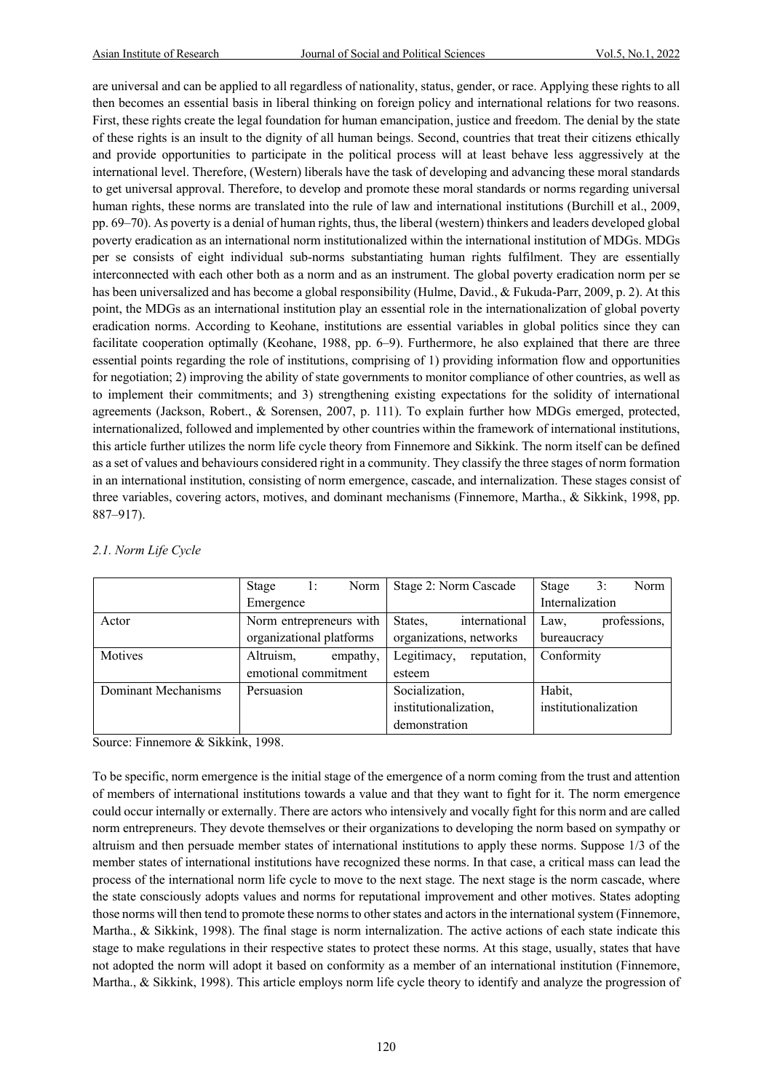are universal and can be applied to all regardless of nationality, status, gender, or race. Applying these rights to all then becomes an essential basis in liberal thinking on foreign policy and international relations for two reasons. First, these rights create the legal foundation for human emancipation, justice and freedom. The denial by the state of these rights is an insult to the dignity of all human beings. Second, countries that treat their citizens ethically and provide opportunities to participate in the political process will at least behave less aggressively at the international level. Therefore, (Western) liberals have the task of developing and advancing these moral standards to get universal approval. Therefore, to develop and promote these moral standards or norms regarding universal human rights, these norms are translated into the rule of law and international institutions (Burchill et al., 2009, pp. 69–70). As poverty is a denial of human rights, thus, the liberal (western) thinkers and leaders developed global poverty eradication as an international norm institutionalized within the international institution of MDGs. MDGs per se consists of eight individual sub-norms substantiating human rights fulfilment. They are essentially interconnected with each other both as a norm and as an instrument. The global poverty eradication norm per se has been universalized and has become a global responsibility (Hulme, David., & Fukuda-Parr, 2009, p. 2). At this point, the MDGs as an international institution play an essential role in the internationalization of global poverty eradication norms. According to Keohane, institutions are essential variables in global politics since they can facilitate cooperation optimally (Keohane, 1988, pp. 6–9). Furthermore, he also explained that there are three essential points regarding the role of institutions, comprising of 1) providing information flow and opportunities for negotiation; 2) improving the ability of state governments to monitor compliance of other countries, as well as to implement their commitments; and 3) strengthening existing expectations for the solidity of international agreements (Jackson, Robert., & Sorensen, 2007, p. 111). To explain further how MDGs emerged, protected, internationalized, followed and implemented by other countries within the framework of international institutions, this article further utilizes the norm life cycle theory from Finnemore and Sikkink. The norm itself can be defined as a set of values and behaviours considered right in a community. They classify the three stages of norm formation in an international institution, consisting of norm emergence, cascade, and internalization. These stages consist of three variables, covering actors, motives, and dominant mechanisms (Finnemore, Martha., & Sikkink, 1998, pp. 887–917).

|                     | Norm<br>Stage<br>1:      | Stage 2: Norm Cascade      | 3:<br>Stage<br>Norm  |
|---------------------|--------------------------|----------------------------|----------------------|
|                     | Emergence                |                            | Internalization      |
| Actor               | Norm entrepreneurs with  | international<br>States,   | professions,<br>Law, |
|                     | organizational platforms | organizations, networks    | bureaucracy          |
| Motives             | Altruism,<br>empathy,    | Legitimacy,<br>reputation, | Conformity           |
|                     | emotional commitment     | esteem                     |                      |
| Dominant Mechanisms | Persuasion               | Socialization,             | Habit,               |
|                     |                          | institutionalization,      | institutionalization |
|                     |                          | demonstration              |                      |

# *2.1. Norm Life Cycle*

Source: Finnemore & Sikkink, 1998.

To be specific, norm emergence is the initial stage of the emergence of a norm coming from the trust and attention of members of international institutions towards a value and that they want to fight for it. The norm emergence could occur internally or externally. There are actors who intensively and vocally fight for this norm and are called norm entrepreneurs. They devote themselves or their organizations to developing the norm based on sympathy or altruism and then persuade member states of international institutions to apply these norms. Suppose 1/3 of the member states of international institutions have recognized these norms. In that case, a critical mass can lead the process of the international norm life cycle to move to the next stage. The next stage is the norm cascade, where the state consciously adopts values and norms for reputational improvement and other motives. States adopting those norms will then tend to promote these norms to other states and actors in the international system (Finnemore, Martha., & Sikkink, 1998). The final stage is norm internalization. The active actions of each state indicate this stage to make regulations in their respective states to protect these norms. At this stage, usually, states that have not adopted the norm will adopt it based on conformity as a member of an international institution (Finnemore, Martha., & Sikkink, 1998). This article employs norm life cycle theory to identify and analyze the progression of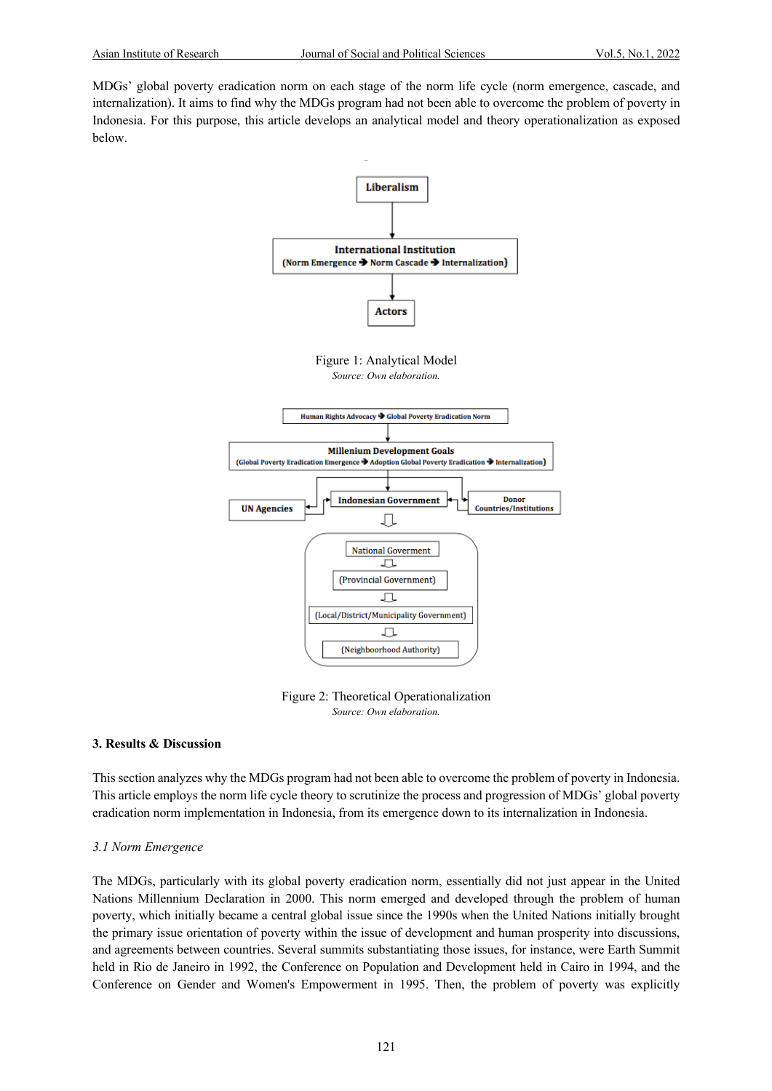MDGs' global poverty eradication norm on each stage of the norm life cycle (norm emergence, cascade, and internalization). It aims to find why the MDGs program had not been able to overcome the problem of poverty in Indonesia. For this purpose, this article develops an analytical model and theory operationalization as exposed below.



Figure 2: Theoretical Operationalization *Source: Own elaboration.*

# **3. Results & Discussion**

This section analyzes why the MDGs program had not been able to overcome the problem of poverty in Indonesia. This article employs the norm life cycle theory to scrutinize the process and progression of MDGs' global poverty eradication norm implementation in Indonesia, from its emergence down to its internalization in Indonesia.

# *3.1 Norm Emergence*

The MDGs, particularly with its global poverty eradication norm, essentially did not just appear in the United Nations Millennium Declaration in 2000. This norm emerged and developed through the problem of human poverty, which initially became a central global issue since the 1990s when the United Nations initially brought the primary issue orientation of poverty within the issue of development and human prosperity into discussions, and agreements between countries. Several summits substantiating those issues, for instance, were Earth Summit held in Rio de Janeiro in 1992, the Conference on Population and Development held in Cairo in 1994, and the Conference on Gender and Women's Empowerment in 1995. Then, the problem of poverty was explicitly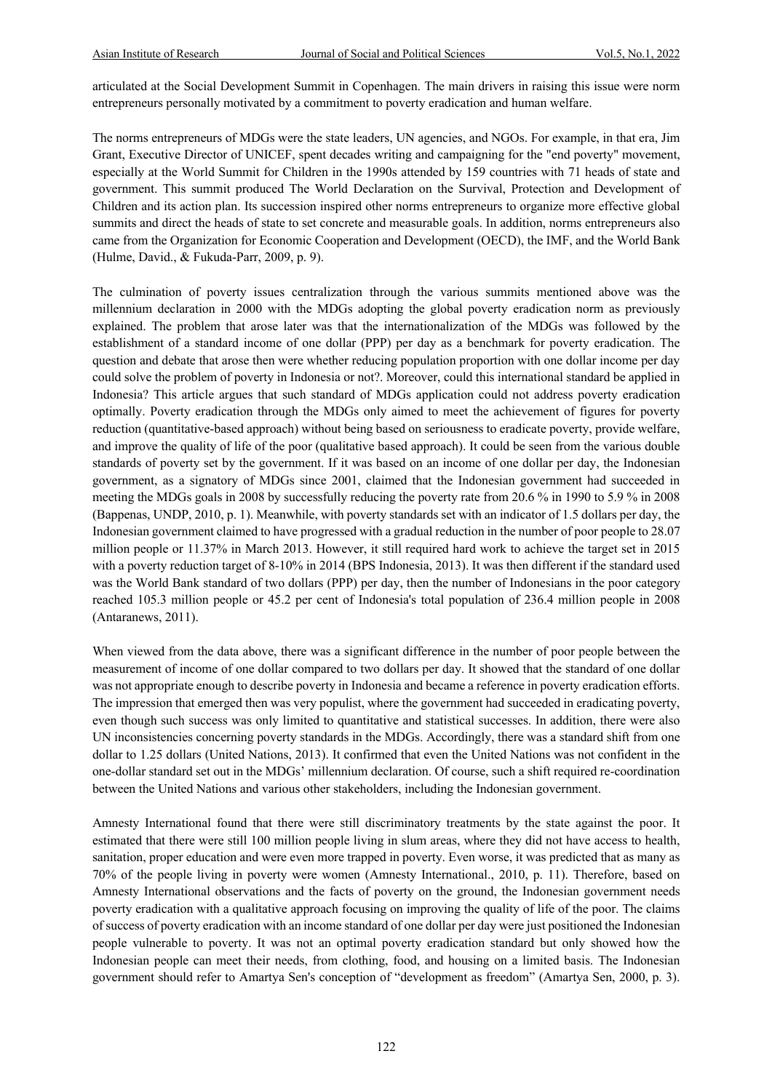articulated at the Social Development Summit in Copenhagen. The main drivers in raising this issue were norm entrepreneurs personally motivated by a commitment to poverty eradication and human welfare.

The norms entrepreneurs of MDGs were the state leaders, UN agencies, and NGOs. For example, in that era, Jim Grant, Executive Director of UNICEF, spent decades writing and campaigning for the "end poverty" movement, especially at the World Summit for Children in the 1990s attended by 159 countries with 71 heads of state and government. This summit produced The World Declaration on the Survival, Protection and Development of Children and its action plan. Its succession inspired other norms entrepreneurs to organize more effective global summits and direct the heads of state to set concrete and measurable goals. In addition, norms entrepreneurs also came from the Organization for Economic Cooperation and Development (OECD), the IMF, and the World Bank (Hulme, David., & Fukuda-Parr, 2009, p. 9).

The culmination of poverty issues centralization through the various summits mentioned above was the millennium declaration in 2000 with the MDGs adopting the global poverty eradication norm as previously explained. The problem that arose later was that the internationalization of the MDGs was followed by the establishment of a standard income of one dollar (PPP) per day as a benchmark for poverty eradication. The question and debate that arose then were whether reducing population proportion with one dollar income per day could solve the problem of poverty in Indonesia or not?. Moreover, could this international standard be applied in Indonesia? This article argues that such standard of MDGs application could not address poverty eradication optimally. Poverty eradication through the MDGs only aimed to meet the achievement of figures for poverty reduction (quantitative-based approach) without being based on seriousness to eradicate poverty, provide welfare, and improve the quality of life of the poor (qualitative based approach). It could be seen from the various double standards of poverty set by the government. If it was based on an income of one dollar per day, the Indonesian government, as a signatory of MDGs since 2001, claimed that the Indonesian government had succeeded in meeting the MDGs goals in 2008 by successfully reducing the poverty rate from 20.6 % in 1990 to 5.9 % in 2008 (Bappenas, UNDP, 2010, p. 1). Meanwhile, with poverty standards set with an indicator of 1.5 dollars per day, the Indonesian government claimed to have progressed with a gradual reduction in the number of poor people to 28.07 million people or 11.37% in March 2013. However, it still required hard work to achieve the target set in 2015 with a poverty reduction target of 8-10% in 2014 (BPS Indonesia, 2013). It was then different if the standard used was the World Bank standard of two dollars (PPP) per day, then the number of Indonesians in the poor category reached 105.3 million people or 45.2 per cent of Indonesia's total population of 236.4 million people in 2008 (Antaranews, 2011).

When viewed from the data above, there was a significant difference in the number of poor people between the measurement of income of one dollar compared to two dollars per day. It showed that the standard of one dollar was not appropriate enough to describe poverty in Indonesia and became a reference in poverty eradication efforts. The impression that emerged then was very populist, where the government had succeeded in eradicating poverty, even though such success was only limited to quantitative and statistical successes. In addition, there were also UN inconsistencies concerning poverty standards in the MDGs. Accordingly, there was a standard shift from one dollar to 1.25 dollars (United Nations, 2013). It confirmed that even the United Nations was not confident in the one-dollar standard set out in the MDGs' millennium declaration. Of course, such a shift required re-coordination between the United Nations and various other stakeholders, including the Indonesian government.

Amnesty International found that there were still discriminatory treatments by the state against the poor. It estimated that there were still 100 million people living in slum areas, where they did not have access to health, sanitation, proper education and were even more trapped in poverty. Even worse, it was predicted that as many as 70% of the people living in poverty were women (Amnesty International., 2010, p. 11). Therefore, based on Amnesty International observations and the facts of poverty on the ground, the Indonesian government needs poverty eradication with a qualitative approach focusing on improving the quality of life of the poor. The claims of success of poverty eradication with an income standard of one dollar per day were just positioned the Indonesian people vulnerable to poverty. It was not an optimal poverty eradication standard but only showed how the Indonesian people can meet their needs, from clothing, food, and housing on a limited basis. The Indonesian government should refer to Amartya Sen's conception of "development as freedom" (Amartya Sen, 2000, p. 3).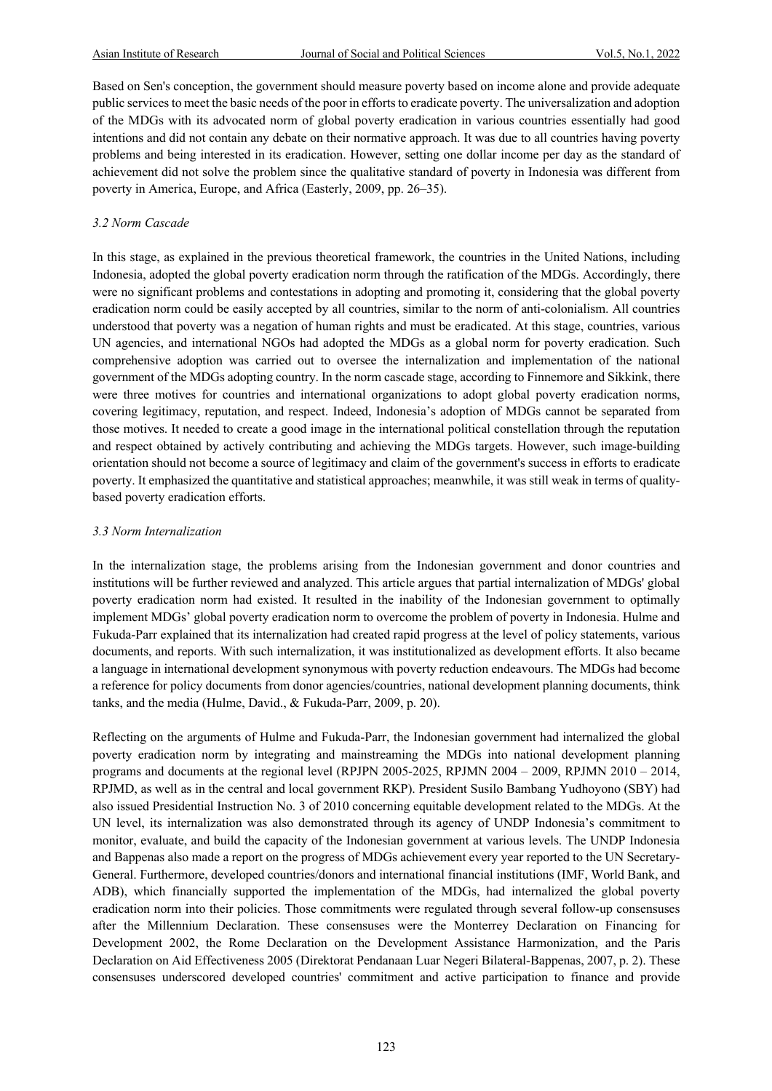Based on Sen's conception, the government should measure poverty based on income alone and provide adequate public services to meet the basic needs of the poor in efforts to eradicate poverty. The universalization and adoption of the MDGs with its advocated norm of global poverty eradication in various countries essentially had good intentions and did not contain any debate on their normative approach. It was due to all countries having poverty problems and being interested in its eradication. However, setting one dollar income per day as the standard of achievement did not solve the problem since the qualitative standard of poverty in Indonesia was different from poverty in America, Europe, and Africa (Easterly, 2009, pp. 26–35).

# *3.2 Norm Cascade*

In this stage, as explained in the previous theoretical framework, the countries in the United Nations, including Indonesia, adopted the global poverty eradication norm through the ratification of the MDGs. Accordingly, there were no significant problems and contestations in adopting and promoting it, considering that the global poverty eradication norm could be easily accepted by all countries, similar to the norm of anti-colonialism. All countries understood that poverty was a negation of human rights and must be eradicated. At this stage, countries, various UN agencies, and international NGOs had adopted the MDGs as a global norm for poverty eradication. Such comprehensive adoption was carried out to oversee the internalization and implementation of the national government of the MDGs adopting country. In the norm cascade stage, according to Finnemore and Sikkink, there were three motives for countries and international organizations to adopt global poverty eradication norms, covering legitimacy, reputation, and respect. Indeed, Indonesia's adoption of MDGs cannot be separated from those motives. It needed to create a good image in the international political constellation through the reputation and respect obtained by actively contributing and achieving the MDGs targets. However, such image-building orientation should not become a source of legitimacy and claim of the government's success in efforts to eradicate poverty. It emphasized the quantitative and statistical approaches; meanwhile, it was still weak in terms of qualitybased poverty eradication efforts.

# *3.3 Norm Internalization*

In the internalization stage, the problems arising from the Indonesian government and donor countries and institutions will be further reviewed and analyzed. This article argues that partial internalization of MDGs' global poverty eradication norm had existed. It resulted in the inability of the Indonesian government to optimally implement MDGs' global poverty eradication norm to overcome the problem of poverty in Indonesia. Hulme and Fukuda-Parr explained that its internalization had created rapid progress at the level of policy statements, various documents, and reports. With such internalization, it was institutionalized as development efforts. It also became a language in international development synonymous with poverty reduction endeavours. The MDGs had become a reference for policy documents from donor agencies/countries, national development planning documents, think tanks, and the media (Hulme, David., & Fukuda-Parr, 2009, p. 20).

Reflecting on the arguments of Hulme and Fukuda-Parr, the Indonesian government had internalized the global poverty eradication norm by integrating and mainstreaming the MDGs into national development planning programs and documents at the regional level (RPJPN 2005-2025, RPJMN 2004 – 2009, RPJMN 2010 – 2014, RPJMD, as well as in the central and local government RKP). President Susilo Bambang Yudhoyono (SBY) had also issued Presidential Instruction No. 3 of 2010 concerning equitable development related to the MDGs. At the UN level, its internalization was also demonstrated through its agency of UNDP Indonesia's commitment to monitor, evaluate, and build the capacity of the Indonesian government at various levels. The UNDP Indonesia and Bappenas also made a report on the progress of MDGs achievement every year reported to the UN Secretary-General. Furthermore, developed countries/donors and international financial institutions (IMF, World Bank, and ADB), which financially supported the implementation of the MDGs, had internalized the global poverty eradication norm into their policies. Those commitments were regulated through several follow-up consensuses after the Millennium Declaration. These consensuses were the Monterrey Declaration on Financing for Development 2002, the Rome Declaration on the Development Assistance Harmonization, and the Paris Declaration on Aid Effectiveness 2005 (Direktorat Pendanaan Luar Negeri Bilateral-Bappenas, 2007, p. 2). These consensuses underscored developed countries' commitment and active participation to finance and provide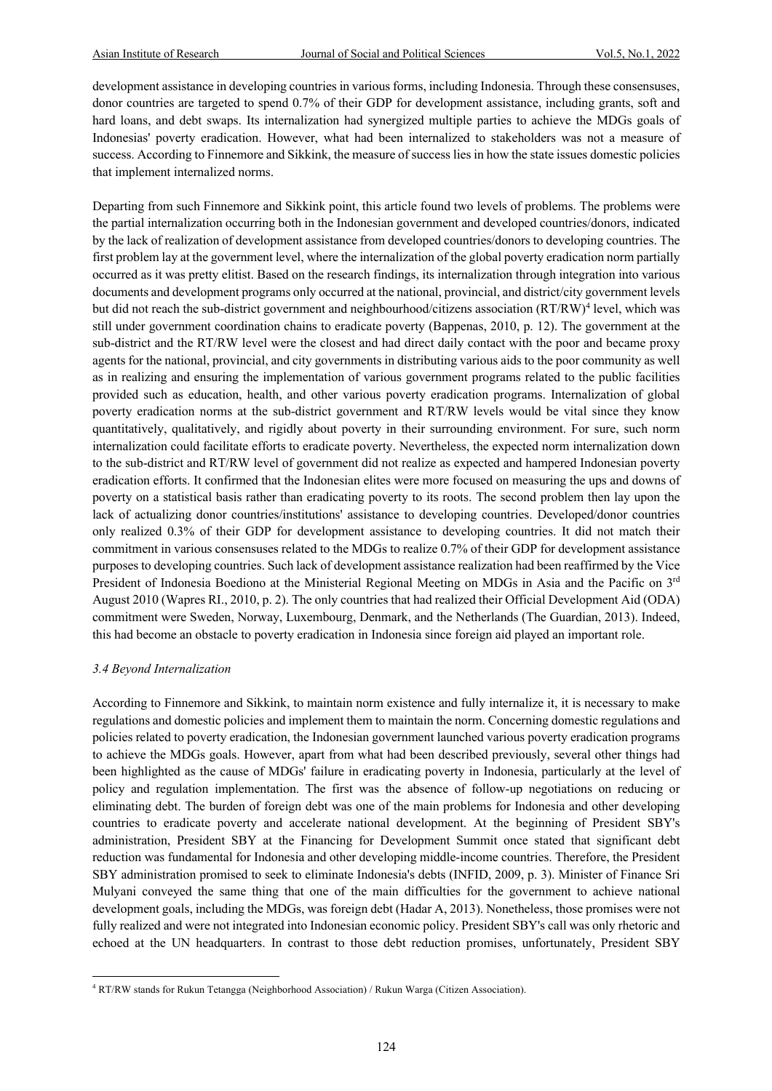development assistance in developing countries in various forms, including Indonesia. Through these consensuses, donor countries are targeted to spend 0.7% of their GDP for development assistance, including grants, soft and hard loans, and debt swaps. Its internalization had synergized multiple parties to achieve the MDGs goals of Indonesias' poverty eradication. However, what had been internalized to stakeholders was not a measure of success. According to Finnemore and Sikkink, the measure of success lies in how the state issues domestic policies that implement internalized norms.

Departing from such Finnemore and Sikkink point, this article found two levels of problems. The problems were the partial internalization occurring both in the Indonesian government and developed countries/donors, indicated by the lack of realization of development assistance from developed countries/donors to developing countries. The first problem lay at the government level, where the internalization of the global poverty eradication norm partially occurred as it was pretty elitist. Based on the research findings, its internalization through integration into various documents and development programs only occurred at the national, provincial, and district/city government levels but did not reach the sub-district government and neighbourhood/citizens association (RT/RW)<sup>4</sup> level, which was still under government coordination chains to eradicate poverty (Bappenas, 2010, p. 12). The government at the sub-district and the RT/RW level were the closest and had direct daily contact with the poor and became proxy agents for the national, provincial, and city governments in distributing various aids to the poor community as well as in realizing and ensuring the implementation of various government programs related to the public facilities provided such as education, health, and other various poverty eradication programs. Internalization of global poverty eradication norms at the sub-district government and RT/RW levels would be vital since they know quantitatively, qualitatively, and rigidly about poverty in their surrounding environment. For sure, such norm internalization could facilitate efforts to eradicate poverty. Nevertheless, the expected norm internalization down to the sub-district and RT/RW level of government did not realize as expected and hampered Indonesian poverty eradication efforts. It confirmed that the Indonesian elites were more focused on measuring the ups and downs of poverty on a statistical basis rather than eradicating poverty to its roots. The second problem then lay upon the lack of actualizing donor countries/institutions' assistance to developing countries. Developed/donor countries only realized 0.3% of their GDP for development assistance to developing countries. It did not match their commitment in various consensuses related to the MDGs to realize 0.7% of their GDP for development assistance purposes to developing countries. Such lack of development assistance realization had been reaffirmed by the Vice President of Indonesia Boediono at the Ministerial Regional Meeting on MDGs in Asia and the Pacific on 3rd August 2010 (Wapres RI., 2010, p. 2). The only countries that had realized their Official Development Aid (ODA) commitment were Sweden, Norway, Luxembourg, Denmark, and the Netherlands (The Guardian, 2013). Indeed, this had become an obstacle to poverty eradication in Indonesia since foreign aid played an important role.

#### *3.4 Beyond Internalization*

According to Finnemore and Sikkink, to maintain norm existence and fully internalize it, it is necessary to make regulations and domestic policies and implement them to maintain the norm. Concerning domestic regulations and policies related to poverty eradication, the Indonesian government launched various poverty eradication programs to achieve the MDGs goals. However, apart from what had been described previously, several other things had been highlighted as the cause of MDGs' failure in eradicating poverty in Indonesia, particularly at the level of policy and regulation implementation. The first was the absence of follow-up negotiations on reducing or eliminating debt. The burden of foreign debt was one of the main problems for Indonesia and other developing countries to eradicate poverty and accelerate national development. At the beginning of President SBY's administration, President SBY at the Financing for Development Summit once stated that significant debt reduction was fundamental for Indonesia and other developing middle-income countries. Therefore, the President SBY administration promised to seek to eliminate Indonesia's debts (INFID, 2009, p. 3). Minister of Finance Sri Mulyani conveyed the same thing that one of the main difficulties for the government to achieve national development goals, including the MDGs, was foreign debt (Hadar A, 2013). Nonetheless, those promises were not fully realized and were not integrated into Indonesian economic policy. President SBY's call was only rhetoric and echoed at the UN headquarters. In contrast to those debt reduction promises, unfortunately, President SBY

<sup>4</sup> RT/RW stands for Rukun Tetangga (Neighborhood Association) / Rukun Warga (Citizen Association).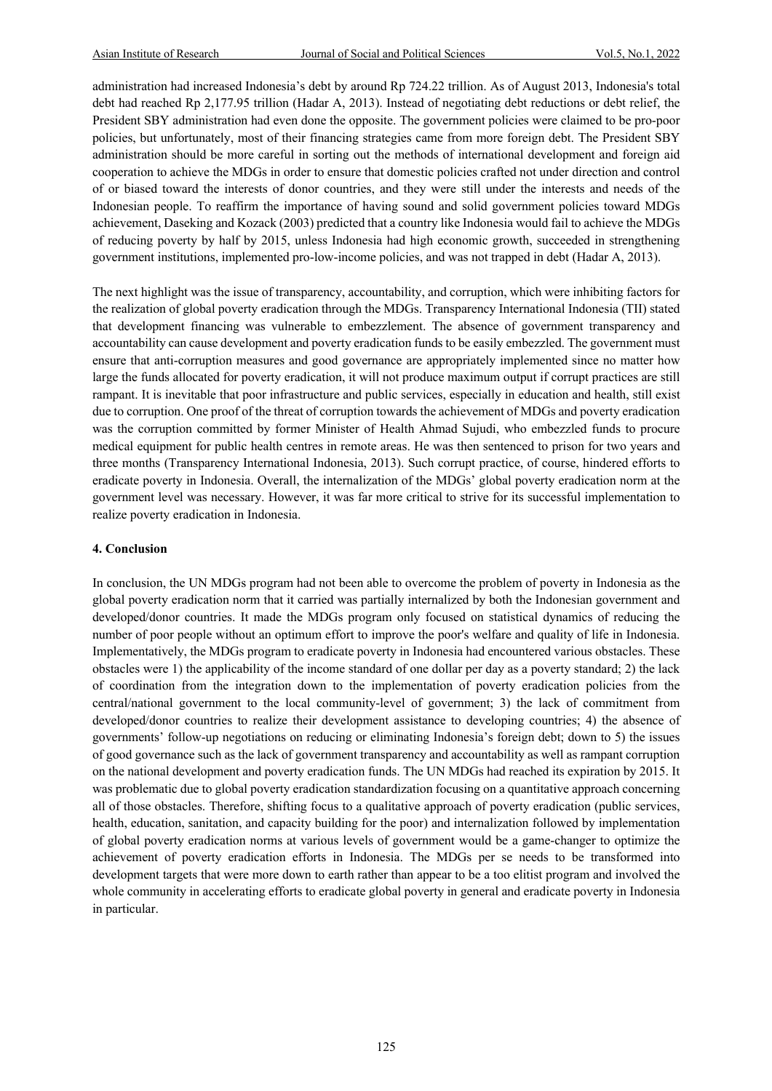administration had increased Indonesia's debt by around Rp 724.22 trillion. As of August 2013, Indonesia's total debt had reached Rp 2,177.95 trillion (Hadar A, 2013). Instead of negotiating debt reductions or debt relief, the President SBY administration had even done the opposite. The government policies were claimed to be pro-poor policies, but unfortunately, most of their financing strategies came from more foreign debt. The President SBY administration should be more careful in sorting out the methods of international development and foreign aid cooperation to achieve the MDGs in order to ensure that domestic policies crafted not under direction and control of or biased toward the interests of donor countries, and they were still under the interests and needs of the Indonesian people. To reaffirm the importance of having sound and solid government policies toward MDGs achievement, Daseking and Kozack (2003) predicted that a country like Indonesia would fail to achieve the MDGs of reducing poverty by half by 2015, unless Indonesia had high economic growth, succeeded in strengthening government institutions, implemented pro-low-income policies, and was not trapped in debt (Hadar A, 2013).

The next highlight was the issue of transparency, accountability, and corruption, which were inhibiting factors for the realization of global poverty eradication through the MDGs. Transparency International Indonesia (TII) stated that development financing was vulnerable to embezzlement. The absence of government transparency and accountability can cause development and poverty eradication funds to be easily embezzled. The government must ensure that anti-corruption measures and good governance are appropriately implemented since no matter how large the funds allocated for poverty eradication, it will not produce maximum output if corrupt practices are still rampant. It is inevitable that poor infrastructure and public services, especially in education and health, still exist due to corruption. One proof of the threat of corruption towards the achievement of MDGs and poverty eradication was the corruption committed by former Minister of Health Ahmad Sujudi, who embezzled funds to procure medical equipment for public health centres in remote areas. He was then sentenced to prison for two years and three months (Transparency International Indonesia, 2013). Such corrupt practice, of course, hindered efforts to eradicate poverty in Indonesia. Overall, the internalization of the MDGs' global poverty eradication norm at the government level was necessary. However, it was far more critical to strive for its successful implementation to realize poverty eradication in Indonesia.

## **4. Conclusion**

In conclusion, the UN MDGs program had not been able to overcome the problem of poverty in Indonesia as the global poverty eradication norm that it carried was partially internalized by both the Indonesian government and developed/donor countries. It made the MDGs program only focused on statistical dynamics of reducing the number of poor people without an optimum effort to improve the poor's welfare and quality of life in Indonesia. Implementatively, the MDGs program to eradicate poverty in Indonesia had encountered various obstacles. These obstacles were 1) the applicability of the income standard of one dollar per day as a poverty standard; 2) the lack of coordination from the integration down to the implementation of poverty eradication policies from the central/national government to the local community-level of government; 3) the lack of commitment from developed/donor countries to realize their development assistance to developing countries; 4) the absence of governments' follow-up negotiations on reducing or eliminating Indonesia's foreign debt; down to 5) the issues of good governance such as the lack of government transparency and accountability as well as rampant corruption on the national development and poverty eradication funds. The UN MDGs had reached its expiration by 2015. It was problematic due to global poverty eradication standardization focusing on a quantitative approach concerning all of those obstacles. Therefore, shifting focus to a qualitative approach of poverty eradication (public services, health, education, sanitation, and capacity building for the poor) and internalization followed by implementation of global poverty eradication norms at various levels of government would be a game-changer to optimize the achievement of poverty eradication efforts in Indonesia. The MDGs per se needs to be transformed into development targets that were more down to earth rather than appear to be a too elitist program and involved the whole community in accelerating efforts to eradicate global poverty in general and eradicate poverty in Indonesia in particular.